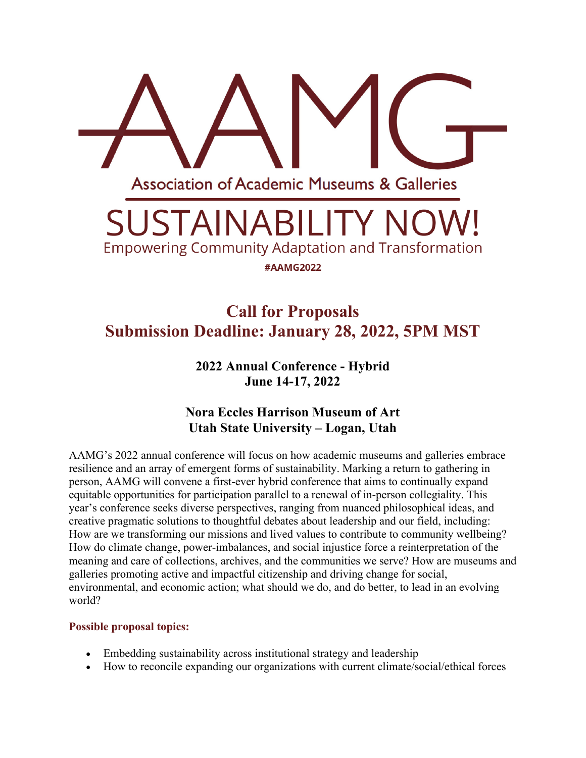

# **Call for Proposals Submission Deadline: January 28, 2022, 5PM MST**

**2022 Annual Conference - Hybrid June 14-17, 2022**

# **Nora Eccles Harrison Museum of Art Utah State University – Logan, Utah**

AAMG's 2022 annual conference will focus on how academic museums and galleries embrace resilience and an array of emergent forms of sustainability. Marking a return to gathering in person, AAMG will convene a first-ever hybrid conference that aims to continually expand equitable opportunities for participation parallel to a renewal of in-person collegiality. This year's conference seeks diverse perspectives, ranging from nuanced philosophical ideas, and creative pragmatic solutions to thoughtful debates about leadership and our field, including: How are we transforming our missions and lived values to contribute to community wellbeing? How do climate change, power-imbalances, and social injustice force a reinterpretation of the meaning and care of collections, archives, and the communities we serve? How are museums and galleries promoting active and impactful citizenship and driving change for social, environmental, and economic action; what should we do, and do better, to lead in an evolving world?

## **Possible proposal topics:**

- Embedding sustainability across institutional strategy and leadership
- How to reconcile expanding our organizations with current climate/social/ethical forces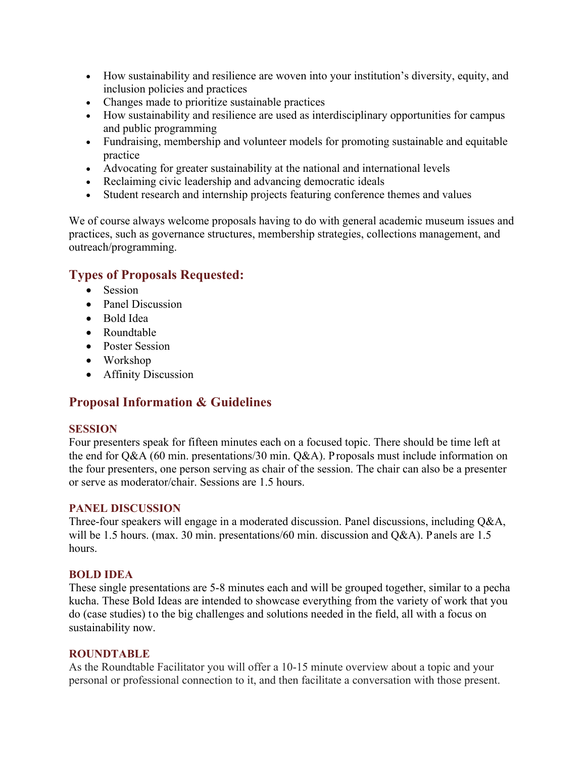- How sustainability and resilience are woven into your institution's diversity, equity, and inclusion policies and practices
- Changes made to prioritize sustainable practices
- How sustainability and resilience are used as interdisciplinary opportunities for campus and public programming
- Fundraising, membership and volunteer models for promoting sustainable and equitable practice
- Advocating for greater sustainability at the national and international levels
- Reclaiming civic leadership and advancing democratic ideals
- Student research and internship projects featuring conference themes and values

We of course always welcome proposals having to do with general academic museum issues and practices, such as governance structures, membership strategies, collections management, and outreach/programming.

## **Types of Proposals Requested:**

- Session
- Panel Discussion
- Bold Idea
- Roundtable
- Poster Session
- Workshop
- Affinity Discussion

# **Proposal Information & Guidelines**

## **SESSION**

Four presenters speak for fifteen minutes each on a focused topic. There should be time left at the end for Q&A (60 min. presentations/30 min. Q&A). Proposals must include information on the four presenters, one person serving as chair of the session. The chair can also be a presenter or serve as moderator/chair. Sessions are 1.5 hours.

## **PANEL DISCUSSION**

Three-four speakers will engage in a moderated discussion. Panel discussions, including Q&A, will be 1.5 hours. (max. 30 min. presentations/60 min. discussion and Q&A). Panels are 1.5 hours.

#### **BOLD IDEA**

These single presentations are 5-8 minutes each and will be grouped together, similar to a pecha kucha. These Bold Ideas are intended to showcase everything from the variety of work that you do (case studies) to the big challenges and solutions needed in the field, all with a focus on sustainability now.

#### **ROUNDTABLE**

As the Roundtable Facilitator you will offer a 10-15 minute overview about a topic and your personal or professional connection to it, and then facilitate a conversation with those present.